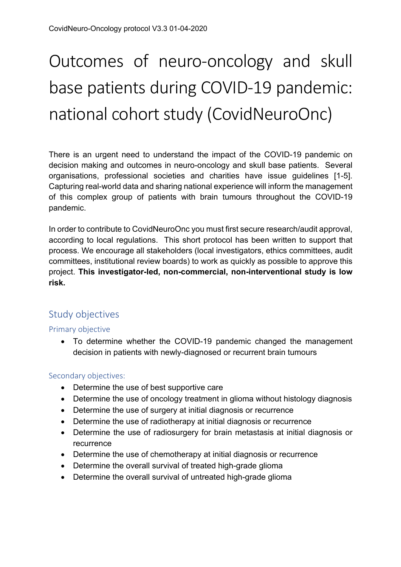# Outcomes of neuro-oncology and skull base patients during COVID-19 pandemic: national cohort study (CovidNeuroOnc)

There is an urgent need to understand the impact of the COVID-19 pandemic on decision making and outcomes in neuro-oncology and skull base patients. Several organisations, professional societies and charities have issue guidelines [1-5]. Capturing real-world data and sharing national experience will inform the management of this complex group of patients with brain tumours throughout the COVID-19 pandemic.

In order to contribute to CovidNeuroOnc you must first secure research/audit approval, according to local regulations. This short protocol has been written to support that process. We encourage all stakeholders (local investigators, ethics committees, audit committees, institutional review boards) to work as quickly as possible to approve this project. **This investigator-led, non-commercial, non-interventional study is low risk.**

# Study objectives

## Primary objective

• To determine whether the COVID-19 pandemic changed the management decision in patients with newly-diagnosed or recurrent brain tumours

## Secondary objectives:

- Determine the use of best supportive care
- Determine the use of oncology treatment in glioma without histology diagnosis
- Determine the use of surgery at initial diagnosis or recurrence
- Determine the use of radiotherapy at initial diagnosis or recurrence
- Determine the use of radiosurgery for brain metastasis at initial diagnosis or recurrence
- Determine the use of chemotherapy at initial diagnosis or recurrence
- Determine the overall survival of treated high-grade glioma
- Determine the overall survival of untreated high-grade glioma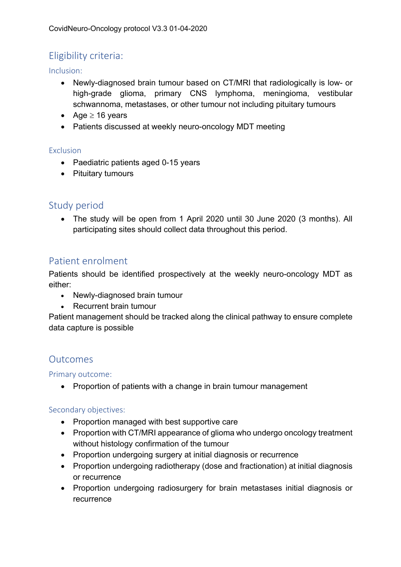# Eligibility criteria:

Inclusion:

- Newly-diagnosed brain tumour based on CT/MRI that radiologically is low- or high-grade glioma, primary CNS lymphoma, meningioma, vestibular schwannoma, metastases, or other tumour not including pituitary tumours
- Age  $\geq$  16 years
- Patients discussed at weekly neuro-oncology MDT meeting

#### Exclusion

- Paediatric patients aged 0-15 years
- Pituitary tumours

## Study period

• The study will be open from 1 April 2020 until 30 June 2020 (3 months). All participating sites should collect data throughout this period.

## Patient enrolment

Patients should be identified prospectively at the weekly neuro-oncology MDT as either:

- Newly-diagnosed brain tumour
- Recurrent brain tumour

Patient management should be tracked along the clinical pathway to ensure complete data capture is possible

## **Outcomes**

## Primary outcome:

• Proportion of patients with a change in brain tumour management

## Secondary objectives:

- Proportion managed with best supportive care
- Proportion with CT/MRI appearance of glioma who undergo oncology treatment without histology confirmation of the tumour
- Proportion undergoing surgery at initial diagnosis or recurrence
- Proportion undergoing radiotherapy (dose and fractionation) at initial diagnosis or recurrence
- Proportion undergoing radiosurgery for brain metastases initial diagnosis or recurrence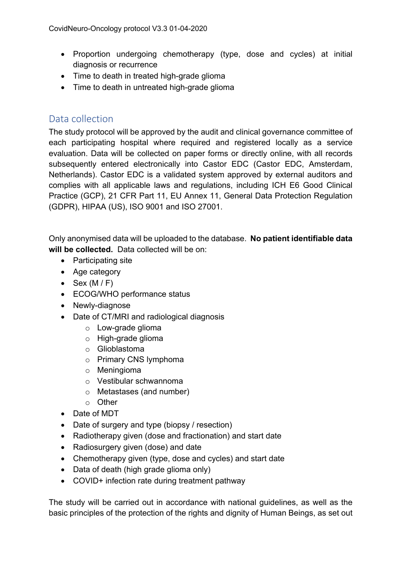- Proportion undergoing chemotherapy (type, dose and cycles) at initial diagnosis or recurrence
- Time to death in treated high-grade glioma
- Time to death in untreated high-grade glioma

# Data collection

The study protocol will be approved by the audit and clinical governance committee of each participating hospital where required and registered locally as a service evaluation. Data will be collected on paper forms or directly online, with all records subsequently entered electronically into Castor EDC (Castor EDC, Amsterdam, Netherlands). Castor EDC is a validated system approved by external auditors and complies with all applicable laws and regulations, including ICH E6 Good Clinical Practice (GCP), 21 CFR Part 11, EU Annex 11, General Data Protection Regulation (GDPR), HIPAA (US), ISO 9001 and ISO 27001.

Only anonymised data will be uploaded to the database. **No patient identifiable data will be collected.** Data collected will be on:

- Participating site
- Age category
- Sex  $(M/F)$
- ECOG/WHO performance status
- Newly-diagnose
- Date of CT/MRI and radiological diagnosis
	- o Low-grade glioma
	- o High-grade glioma
	- o Glioblastoma
	- o Primary CNS lymphoma
	- o Meningioma
	- o Vestibular schwannoma
	- o Metastases (and number)
	- o Other
- Date of MDT
- Date of surgery and type (biopsy / resection)
- Radiotherapy given (dose and fractionation) and start date
- Radiosurgery given (dose) and date
- Chemotherapy given (type, dose and cycles) and start date
- Data of death (high grade glioma only)
- COVID+ infection rate during treatment pathway

The study will be carried out in accordance with national guidelines, as well as the basic principles of the protection of the rights and dignity of Human Beings, as set out